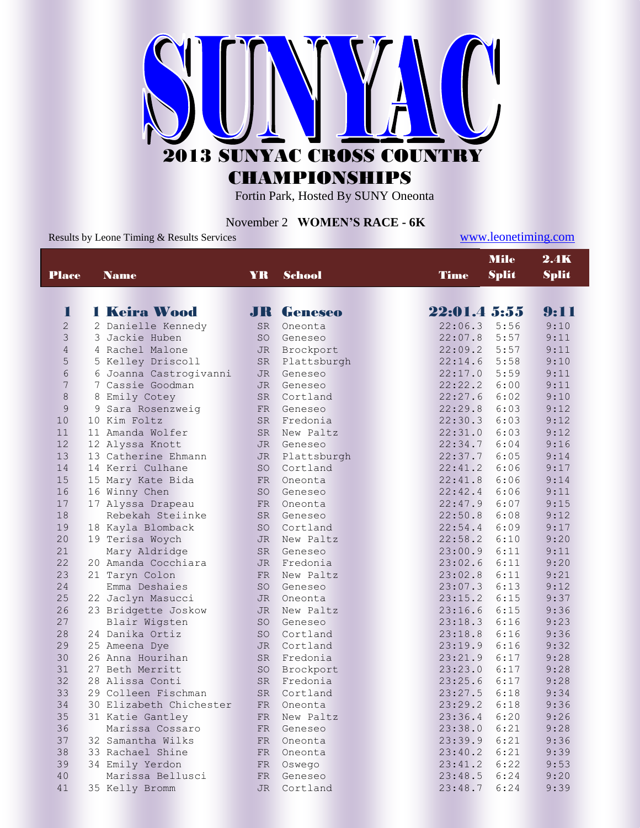

CHAMPIONSHIPS

Fortin Park, Hosted By SUNY Oneonta

## November 2 **WOMEN'S RACE - 6K**

Results by Leone Timing & Results Services [www.leonetiming.com](http://www.leonetiming.com/)

| <b>Place</b><br>YR<br><b>School</b><br><b>Name</b><br><b>1 Keira Wood</b><br>Π<br><b>JR</b> Geneseo | <b>Time</b><br>22:01.4 5:55<br>22:06.3<br>22:07.8 | <b>Split</b> | <b>Split</b> |
|-----------------------------------------------------------------------------------------------------|---------------------------------------------------|--------------|--------------|
|                                                                                                     |                                                   |              |              |
|                                                                                                     |                                                   |              | 9:11         |
| $\overline{c}$<br>2 Danielle Kennedy<br>SR<br>Oneonta                                               |                                                   | 5:56         | 9:10         |
| 3<br>3 Jackie Huben<br><b>SO</b><br>Geneseo                                                         |                                                   | 5:57         | 9:11         |
| $\overline{4}$<br>4 Rachel Malone<br><b>JR</b><br>Brockport                                         | 22:09.2                                           | 5:57         | 9:11         |
| 5<br>5 Kelley Driscoll<br><b>SR</b><br>Plattsburgh                                                  | 22:14.6                                           | 5:58         | 9:10         |
| $\sqrt{6}$<br>6 Joanna Castrogivanni<br><b>JR</b><br>Geneseo                                        | 22:17.0                                           | 5:59         | 9:11         |
| $7\phantom{.0}$<br>7 Cassie Goodman<br><b>JR</b><br>Geneseo                                         | 22:22.2                                           | 6:00         | 9:11         |
| $\,8\,$<br>8 Emily Cotey<br>Cortland<br><b>SR</b>                                                   | 22:27.6                                           | 6:02         | 9:10         |
| $\mathsf{9}$<br>9 Sara Rosenzweig<br><b>FR</b><br>Geneseo                                           | 22:29.8                                           | 6:03         | 9:12         |
| 10<br>10 Kim Foltz<br>Fredonia<br><b>SR</b>                                                         | 22:30.3                                           | 6:03         | 9:12         |
| 11<br>11 Amanda Wolfer<br><b>SR</b><br>New Paltz                                                    | 22:31.0                                           | 6:03         | 9:12         |
| 12<br>12 Alyssa Knott<br><b>JR</b><br>Geneseo                                                       | 22:34.7                                           | 6:04         | 9:16         |
| 13<br>13 Catherine Ehmann<br><b>JR</b><br>Plattsburgh                                               | 22:37.7                                           | 6:05         | 9:14         |
| 14<br>14 Kerri Culhane<br><b>SO</b><br>Cortland                                                     | 22:41.2                                           | 6:06         | 9:17         |
| 15<br>15 Mary Kate Bida<br><b>FR</b><br>Oneonta                                                     | 22:41.8                                           | 6:06         | 9:14         |
| 16<br>16 Winny Chen<br><b>SO</b><br>Geneseo                                                         | 22:42.4                                           | 6:06         | 9:11         |
| 17<br>17 Alyssa Drapeau<br><b>FR</b><br>Oneonta                                                     | 22:47.9                                           | 6:07         | 9:15         |
| 18<br>Rebekah Steiinke<br><b>SR</b><br>Geneseo                                                      | 22:50.8                                           | 6:08         | 9:12         |
| 19<br>18 Kayla Blomback<br><b>SO</b><br>Cortland                                                    | 22:54.4                                           | 6:09         | 9:17         |
| 20<br>19 Terisa Woych<br><b>JR</b><br>New Paltz                                                     | 22:58.2                                           | 6:10         | 9:20         |
| 21<br>Mary Aldridge<br><b>SR</b><br>Geneseo                                                         | 23:00.9                                           | 6:11         | 9:11         |
| 22<br>20 Amanda Cocchiara<br>Fredonia<br><b>JR</b>                                                  | 23:02.6                                           | 6:11         | 9:20         |
| 23<br>21 Taryn Colon<br><b>FR</b><br>New Paltz                                                      | 23:02.8                                           | 6:11         | 9:21         |
| 24<br>Emma Deshaies<br><b>SO</b><br>Geneseo                                                         | 23:07.3                                           | 6:13         | 9:12         |
| 25<br>22 Jaclyn Masucci<br><b>JR</b><br>Oneonta                                                     | 23:15.2                                           | 6:15         | 9:37         |
| 26<br>23 Bridgette Joskow<br><b>JR</b><br>New Paltz                                                 | 23:16.6                                           | 6:15         | 9:36         |
| 27<br>Blair Wigsten<br><b>SO</b><br>Geneseo                                                         | 23:18.3                                           | 6:16         | 9:23         |
| 28<br>24 Danika Ortiz<br><b>SO</b><br>Cortland                                                      | 23:18.8                                           | 6:16         | 9:36         |
| 29<br>25 Ameena Dye<br>Cortland<br>JR.                                                              | 23:19.9                                           | 6:16         | 9:32         |
| 30<br>26 Anna Hourihan<br><b>SR</b><br>Fredonia                                                     | 23:21.9                                           | 6:17         | 9:28         |
| 31<br>27 Beth Merritt<br>SO<br>Brockport                                                            | 23:23.0                                           | 6:17         | 9:28         |
| 32<br>28 Alissa Conti<br><b>SR</b><br>Fredonia                                                      | 23:25.6                                           | 6:17         | 9:28         |
| 33<br>29 Colleen Fischman<br><b>SR</b><br>Cortland                                                  | 23:27.5                                           | 6:18         | 9:34         |
| 34<br>30 Elizabeth Chichester<br><b>FR</b><br>Oneonta                                               | 23:29.2                                           | 6:18         | 9:36         |
| 35<br>31 Katie Gantley<br><b>FR</b><br>New Paltz                                                    | 23:36.4                                           | 6:20         | 9:26         |
| 36<br>Marissa Cossaro<br><b>FR</b><br>Geneseo                                                       | 23:38.0                                           | 6:21         | 9:28         |
| 37<br>32 Samantha Wilks<br><b>FR</b><br>Oneonta                                                     | 23:39.9                                           | 6:21         | 9:36         |
| 38<br>33 Rachael Shine<br><b>FR</b><br>Oneonta                                                      | 23:40.2                                           | 6:21         | 9:39         |
| 39<br>34 Emily Yerdon<br><b>FR</b><br>Oswego                                                        | 23:41.2                                           | 6:22         | 9:53         |
| 40<br>Marissa Bellusci<br>Geneseo<br><b>FR</b>                                                      | 23:48.5                                           | 6:24         | 9:20         |
| 41<br>35 Kelly Bromm<br><b>JR</b><br>Cortland                                                       | 23:48.7                                           | 6:24         | 9:39         |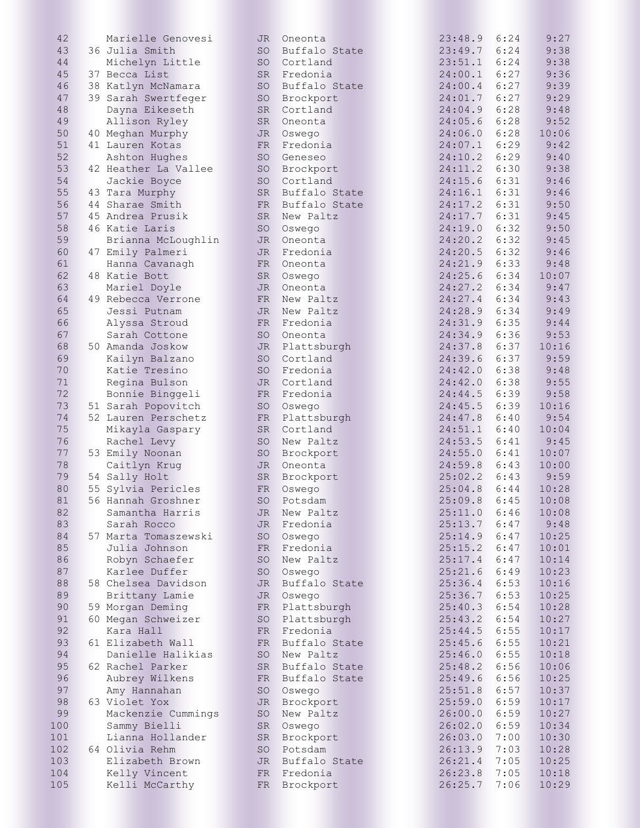| 42  | Marielle Genovesi    | JR        | Oneonta          | 23:48.9        | 6:24 | 9:27  |
|-----|----------------------|-----------|------------------|----------------|------|-------|
| 43  | 36 Julia Smith       | SO        | Buffalo State    | 23:49.7        | 6:24 | 9:38  |
| 44  | Michelyn Little      | SO        | Cortland         | 23:51.1        | 6:24 | 9:38  |
| 45  | 37 Becca List        | SR        | Fredonia         | 24:00.1        | 6:27 | 9:36  |
| 46  | 38 Katlyn McNamara   | SO        | Buffalo State    | 24:00.4        | 6:27 | 9:39  |
| 47  | 39 Sarah Swertfeger  | SO        | Brockport        | 24:01.7        | 6:27 | 9:29  |
| 48  | Dayna Eikeseth       | SR        | Cortland         | 24:04.9        | 6:28 | 9:48  |
| 49  | Allison Ryley        | SR        | Oneonta          | 24:05.6        | 6:28 | 9:52  |
| 50  |                      |           |                  | 24:06.0        | 6:28 |       |
|     | 40 Meghan Murphy     | JR        | Oswego           |                |      | 10:06 |
| 51  | 41 Lauren Kotas      | FR        | Fredonia         | 24:07.1        | 6:29 | 9:42  |
| 52  | Ashton Hughes        | SO        | Geneseo          | 24:10.2        | 6:29 | 9:40  |
| 53  | 42 Heather La Vallee | SO        | Brockport        | 24:11.2        | 6:30 | 9:38  |
| 54  | Jackie Boyce         | SO        | Cortland         | 24:15.6        | 6:31 | 9:46  |
| 55  | 43 Tara Murphy       | SR        | Buffalo State    | 24:16.1        | 6:31 | 9:46  |
| 56  | 44 Sharae Smith      | FR        | Buffalo State    | 24:17.2        | 6:31 | 9:50  |
| 57  | 45 Andrea Prusik     | SR        | New Paltz        | 24:17.7        | 6:31 | 9:45  |
| 58  | 46 Katie Laris       | SO        | Oswego           | 24:19.0        | 6:32 | 9:50  |
| 59  | Brianna McLoughlin   | JR        | Oneonta          | 24:20.2        | 6:32 | 9:45  |
| 60  | 47 Emily Palmeri     | JR        | Fredonia         | 24:20.5        | 6:32 | 9:46  |
| 61  | Hanna Cavanagh       | FR        | Oneonta          | 24:21.9        | 6:33 | 9:48  |
| 62  | 48 Katie Bott        | SR        | Oswego           | 24:25.6        | 6:34 | 10:07 |
| 63  | Mariel Doyle         | JR        | Oneonta          | 24:27.2        | 6:34 | 9:47  |
| 64  | 49 Rebecca Verrone   | FR        | New Paltz        | 24:27.4        | 6:34 | 9:43  |
| 65  | Jessi Putnam         | <b>JR</b> | New Paltz        | 24:28.9        | 6:34 | 9:49  |
| 66  | Alyssa Stroud        | FR        | Fredonia         | 24:31.9        | 6:35 | 9:44  |
|     |                      |           |                  |                | 6:36 |       |
| 67  | Sarah Cottone        | SO        | Oneonta          | 24:34.9        |      | 9:53  |
| 68  | 50 Amanda Joskow     |           | JR Plattsburgh   | 24:37.8        | 6:37 | 10:16 |
| 69  | Kailyn Balzano       | SO        | Cortland         | 24:39.6        | 6:37 | 9:59  |
| 70  | Katie Tresino        | SO        | Fredonia         | 24:42.0        | 6:38 | 9:48  |
| 71  | Regina Bulson        | JR        | Cortland         | 24:42.0        | 6:38 | 9:55  |
| 72  | Bonnie Binggeli      | FR        | Fredonia         | 24:44.5        | 6:39 | 9:58  |
| 73  | 51 Sarah Popovitch   | SO        | Oswego           | 24:45.5        | 6:39 | 10:16 |
| 74  | 52 Lauren Perschetz  | FR        | Plattsburgh      | 24:47.8        | 6:40 | 9:54  |
| 75  | Mikayla Gaspary      | SR        | Cortland         | 24:51.1        | 6:40 | 10:04 |
| 76  | Rachel Levy          | SO        | New Paltz        | 24:53.5        | 6:41 | 9:45  |
| 77  | 53 Emily Noonan      | SO        | Brockport        | 24:55.0        | 6:41 | 10:07 |
| 78  | Caitlyn Krug         | JR        | Oneonta          | 24:59.8        | 6:43 | 10:00 |
| 79  | 54 Sally Holt        | SR        | Brockport        | 25:02.2        | 6:43 | 9:59  |
| 80  | 55 Sylvia Pericles   | FR        | Oswego           | 25:04.8        | 6:44 | 10:28 |
| 81  | 56 Hannah Groshner   |           | SO Potsdam       | $25:09.8$ 6:45 |      | 10:08 |
|     |                      |           | New Paltz        | $25:11.0$ 6:46 |      | 10:08 |
| 82  | Samantha Harris      | JR        |                  |                |      |       |
| 83  | Sarah Rocco          |           | JR Fredonia      | 25:13.7        | 6:47 | 9:48  |
| 84  | 57 Marta Tomaszewski | SO        | Oswego           | 25:14.9        | 6:47 | 10:25 |
| 85  | Julia Johnson        |           | FR Fredonia      | 25:15.2        | 6:47 | 10:01 |
| 86  | Robyn Schaefer       | SO        | New Paltz        | 25:17.4        | 6:47 | 10:14 |
| 87  | Karlee Duffer        |           | SO Oswego        | 25:21.6        | 6:49 | 10:23 |
| 88  | 58 Chelsea Davidson  |           | JR Buffalo State | 25:36.4        | 6:53 | 10:16 |
| 89  | Brittany Lamie       | JR        | Oswego           | 25:36.7        | 6:53 | 10:25 |
| 90  | 59 Morgan Deming     |           | FR Plattsburgh   | 25:40.3        | 6:54 | 10:28 |
| 91  | 60 Megan Schweizer   |           | SO Plattsburgh   | 25:43.2        | 6:54 | 10:27 |
| 92  | Kara Hall            |           | FR Fredonia      | 25:44.5        | 6:55 | 10:17 |
| 93  | 61 Elizabeth Wall    | FR        | Buffalo State    | 25:45.6        | 6:55 | 10:21 |
| 94  | Danielle Halikias    |           | SO New Paltz     | 25:46.0        | 6:55 | 10:18 |
| 95  | 62 Rachel Parker     |           | SR Buffalo State | 25:48.2        | 6:56 | 10:06 |
| 96  |                      |           |                  |                | 6:56 |       |
|     | Aubrey Wilkens       |           | FR Buffalo State | 25:49.6        |      | 10:25 |
| 97  | Amy Hannahan         |           | SO Oswego        | 25:51.8        | 6:57 | 10:37 |
| 98  | 63 Violet Yox        |           | JR Brockport     | 25:59.0        | 6:59 | 10:17 |
| 99  | Mackenzie Cummings   | SO        | New Paltz        | 26:00.0        | 6:59 | 10:27 |
| 100 | Sammy Bielli         | SR        | Oswego           | 26:02.0        | 6:59 | 10:34 |
| 101 | Lianna Hollander     | SR        | Brockport        | 26:03.0        | 7:00 | 10:30 |
| 102 | 64 Olivia Rehm       | SO        | Potsdam          | 26:13.9        | 7:03 | 10:28 |
| 103 | Elizabeth Brown      |           | JR Buffalo State | 26:21.4        | 7:05 | 10:25 |
| 104 | Kelly Vincent        |           | FR Fredonia      | 26:23.8        | 7:05 | 10:18 |
| 105 | Kelli McCarthy       |           | FR Brockport     | 26:25.7        | 7:06 | 10:29 |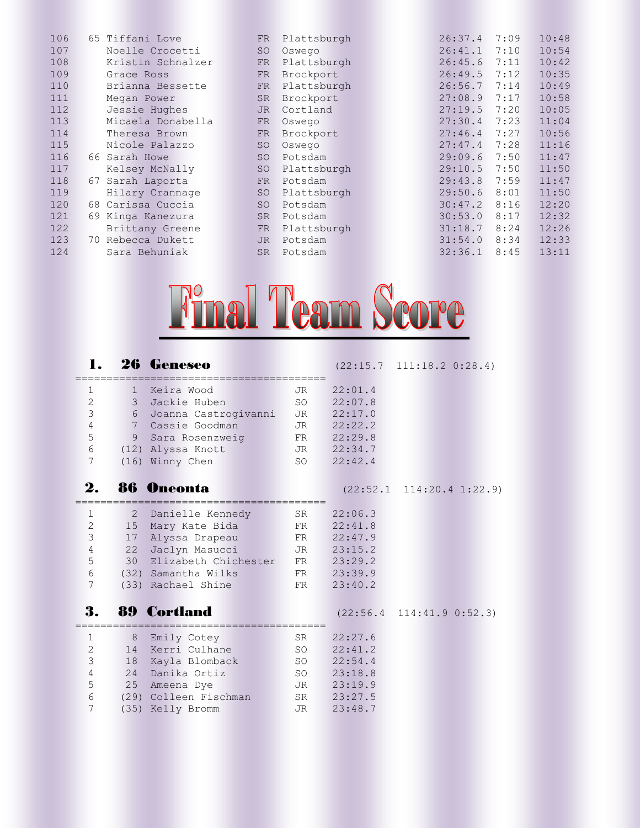| 106 | 65 Tiffani Love      | <b>FR</b> | Plattsburgh | 26:37.4 | 7:09 | 10:48 |
|-----|----------------------|-----------|-------------|---------|------|-------|
| 107 | Noelle Crocetti      | <b>SO</b> | Oswego      | 26:41.1 | 7:10 | 10:54 |
| 108 | Kristin Schnalzer    | FR        | Plattsburgh | 26:45.6 | 7:11 | 10:42 |
| 109 | Grace Ross           | <b>FR</b> | Brockport   | 26:49.5 | 7:12 | 10:35 |
| 110 | Brianna Bessette     | FR        | Plattsburgh | 26:56.7 | 7:14 | 10:49 |
| 111 | Megan Power          | <b>SR</b> | Brockport   | 27:08.9 | 7:17 | 10:58 |
| 112 | Jessie Hughes        | <b>JR</b> | Cortland    | 27:19.5 | 7:20 | 10:05 |
| 113 | Micaela Donabella    | <b>FR</b> | Oswego      | 27:30.4 | 7:23 | 11:04 |
| 114 | Theresa Brown        | <b>FR</b> | Brockport   | 27:46.4 | 7:27 | 10:56 |
| 115 | Nicole Palazzo       | SO        | Oswego      | 27:47.4 | 7:28 | 11:16 |
| 116 | 66 Sarah Howe        | <b>SO</b> | Potsdam     | 29:09.6 | 7:50 | 11:47 |
| 117 | Kelsey McNally       | <b>SO</b> | Plattsburgh | 29:10.5 | 7:50 | 11:50 |
| 118 | Sarah Laporta<br>67  | <b>FR</b> | Potsdam     | 29:43.8 | 7:59 | 11:47 |
| 119 | Hilary Crannage      | SO        | Plattsburgh | 29:50.6 | 8:01 | 11:50 |
| 120 | 68 Carissa Cuccia    | <b>SO</b> | Potsdam     | 30:47.2 | 8:16 | 12:20 |
| 121 | 69 Kinga Kanezura    | <b>SR</b> | Potsdam     | 30:53.0 | 8:17 | 12:32 |
| 122 | Brittany Greene      | <b>FR</b> | Plattsburgh | 31:18.7 | 8:24 | 12:26 |
| 123 | Rebecca Dukett<br>70 | <b>JR</b> | Potsdam     | 31:54.0 | 8:34 | 12:33 |
| 124 | Sara Behuniak        | <b>SR</b> | Potsdam     | 32:36.1 | 8:45 | 13:11 |



## **1. 26 Geneseo** (22:15.7 111:18.2 0:28.4) ======================================== 1 1 Keira Wood JR 22:01.4 2 3 Jackie Huben SO 22:07.8 3 6 Joanna Castrogivanni JR 22:17.0 4 7 Cassie Goodman JR 22:22.2 5 9 Sara Rosenzweig FR 22:29.8 6 (12) Alyssa Knott JR 22:34.7 7 (16) Winny Chen SO 22:42.4 2. 86 Oneonta (22:52.1 114:20.4 1:22.9) ======================================== 1 2 Danielle Kennedy SR 22:06.3 2 15 Mary Kate Bida FR 22:41.8 3 17 Alyssa Drapeau FR 22:47.9 4 22 Jaclyn Masucci JR 23:15.2 5 30 Elizabeth Chichester FR 23:29.2 6 (32) Samantha Wilks FR 23:39.9 7 (33) Rachael Shine FR 23:40.2 **3. 89 Cortland** (22:56.4 114:41.9 0:52.3) ======================================== 1 8 Emily Cotey SR 22:27.6 2 14 Kerri Culhane SO 22:41.2 3 18 Kayla Blomback SO 22:54.4 4 24 Danika Ortiz SO 23:18.8 5 25 Ameena Dye JR 23:19.9 6 (29) Colleen Fischman SR 23:27.5 7 (35) Kelly Bromm JR 23:48.7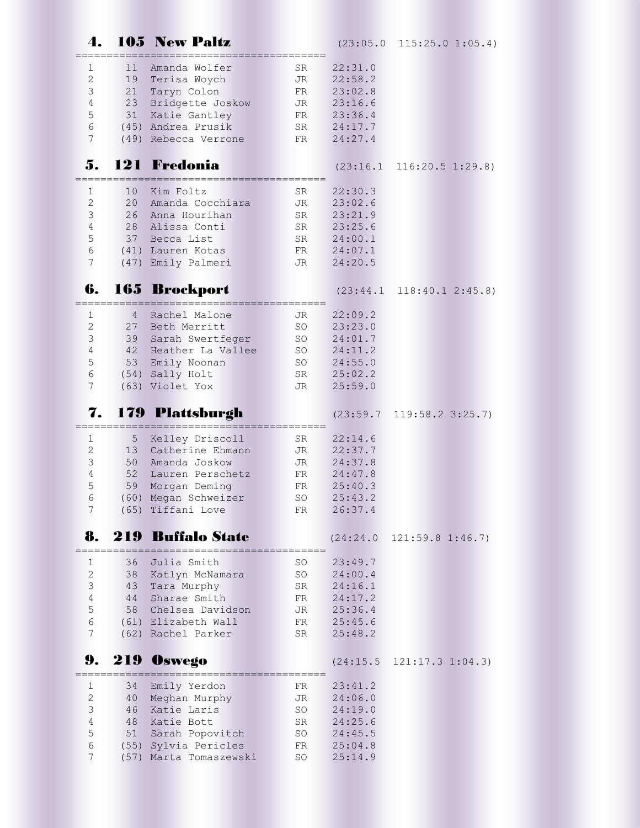| 4.                            |                | <b>105 New Paltz</b>                       |                 |                    | $(23:05.0 \t115:25.0 \t1:05.4)$         |
|-------------------------------|----------------|--------------------------------------------|-----------------|--------------------|-----------------------------------------|
| 1                             | 11             | Amanda Wolfer                              | SR              | 22:31.0            |                                         |
| $\mathbf{2}$                  | 19             | Terisa Woych                               | JR              | 22:58.2            |                                         |
| 3                             | 21             | Taryn Colon                                | FR              | 23:02.8            |                                         |
| $\overline{4}$<br>5           | 23<br>31       | Bridgette Joskow<br>Katie Gantley          | <b>JR</b><br>FR | 23:16.6<br>23:36.4 |                                         |
| $\sqrt{6}$                    |                | (45) Andrea Prusik                         | SR              | 24:17.7            |                                         |
| 7                             |                | (49) Rebecca Verrone                       | FR              | 24:27.4            |                                         |
| 5.                            |                | <b>121 Fredonia</b>                        |                 |                    | $(23:16.1 \quad 116:20.5 \quad 1:29.8)$ |
| 1                             | 10             | Kim Foltz                                  | SR              | 22:30.3            |                                         |
| 2                             | 20             | Amanda Cocchiara                           | JR              | 23:02.6            |                                         |
| 3                             |                | 26 Anna Hourihan                           | SR              | 23:21.9            |                                         |
| $\overline{4}$<br>$\mathsf S$ |                | 28 Alissa Conti<br>37 Becca List           | SR<br>SR        | 23:25.6<br>24:00.1 |                                         |
| 6                             |                | (41) Lauren Kotas                          | FR              | 24:07.1            |                                         |
| 7                             |                | (47) Emily Palmeri                         | JR              | 24:20.5            |                                         |
| 6.                            |                | 165 Brockport                              |                 |                    | $(23:44.1 \quad 118:40.1 \quad 2:45.8)$ |
| 1                             | $\overline{4}$ | Rachel Malone                              | JR              | 22:09.2            |                                         |
| $\mathbf{2}$                  |                | 27 Beth Merritt                            | SO              | 23:23.0            |                                         |
| $\mathfrak{Z}$                |                | 39 Sarah Swertfeger                        | SO              | 24:01.7            |                                         |
| 4<br>5                        | 53             | 42 Heather La Vallee<br>Emily Noonan       | SO<br>SO        | 24:11.2<br>24:55.0 |                                         |
| $6\,$                         |                | (54) Sally Holt                            | SR              | 25:02.2            |                                         |
| 7                             |                | (63) Violet Yox                            | JR              | 25:59.0            |                                         |
|                               |                |                                            |                 |                    |                                         |
| 7.                            |                | 179 Plattsburgh                            |                 | (23:59.7)          | $119:58.2$ $3:25.7$                     |
| 1                             | 5              | Kelley Driscoll                            | SR              | 22:14.6            |                                         |
| 2                             |                | 13 Catherine Ehmann                        | JR              | 22:37.7            |                                         |
| 3                             |                | 50 Amanda Joskow                           | JR              | 24:37.8            |                                         |
| 4                             | 52             | Lauren Perschetz                           | FR              | 24:47.8            |                                         |
| 5<br>$6\overline{6}$          | 59<br>(60)     | Morgan Deming<br>Megan Schweizer           | FR<br>SO        | 25:40.3<br>25:43.2 |                                         |
| 7                             |                | (65) Tiffani Love                          | FR.             | 26:37.4            |                                         |
| 8.                            |                | 219 Buffalo State<br>:==================== |                 | (24:24.0           | 121:59.8 1:46.7                         |
| 1                             | 36             | Julia Smith                                | SO              | 23:49.7            |                                         |
| $\mathbf{2}$                  | 38             | Katlyn McNamara                            | SO              | 24:00.4            |                                         |
| $\mathcal{S}$                 | 43             | Tara Murphy                                | SR              | 24:16.1            |                                         |
| $\overline{4}$                | 44             | Sharae Smith                               | FR              | 24:17.2            |                                         |
| 5<br>$\sqrt{6}$               | 58             | Chelsea Davidson<br>(61) Elizabeth Wall    | JR<br>FR        | 25:36.4<br>25:45.6 |                                         |
| 7                             |                | (62) Rachel Parker                         | SR              | 25:48.2            |                                         |
| 9.                            |                | 219 Oswego                                 |                 | (24:15.5           | $121:17.3$ $1:04.3$                     |
| 1                             | 34             | Emily Yerdon                               | FR              | 23:41.2            |                                         |
| $\mathbf{2}$                  | 40             | Meghan Murphy                              | JR              | 24:06.0            |                                         |
| 3                             | 46             | Katie Laris                                | SO              | 24:19.0            |                                         |
| 4                             | 48             | Katie Bott                                 | SR              | 24:25.6            |                                         |
| 5<br>6                        | 51             | Sarah Popovitch<br>(55) Sylvia Pericles    | SO<br>FR        | 24:45.5<br>25:04.8 |                                         |